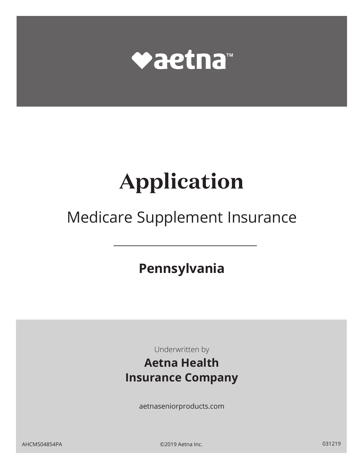

# **Application**

## Medicare Supplement Insurance

**Pennsylvania** 

Underwritten by

## **Aetna Health Insurance Company**

aetnaseniorproducts.com

AHCMS04854PA ©2019 Aetna Inc. 031219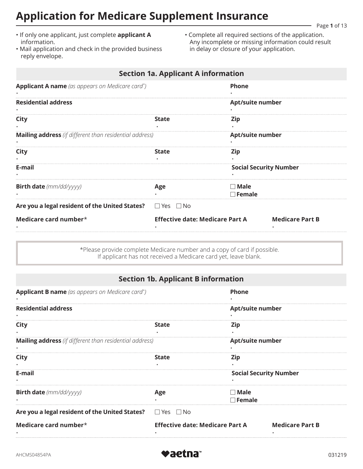## **Application for Medicare Supplement Insurance**

Page **1** of 13

- If only one applicant, just complete **applicant A**  information.
- Mail application and check in the provided business reply envelope.
- Complete all required sections of the application. Any incomplete or missing information could result in delay or closure of your application.

|                                                                           | <b>Section 1a. Applicant A information</b> |                                |
|---------------------------------------------------------------------------|--------------------------------------------|--------------------------------|
| <b>Applicant A name</b> (as appears on Medicare card*)                    |                                            | <b>Phone</b>                   |
| <b>Residential address</b>                                                |                                            | Apt/suite number               |
| City                                                                      | <b>State</b>                               | Zip                            |
| <b>Mailing address</b> (if different than residential address)            |                                            | <b>Apt/suite number</b>        |
| City                                                                      | <b>State</b>                               | Zip                            |
| E-mail                                                                    |                                            | <b>Social Security Number</b>  |
| <b>Birth date</b> (mm/dd/yyyy)                                            | Age                                        | $\Box$ Male<br>$\sqcap$ Female |
| Are you a legal resident of the United States? $\square$ Yes $\square$ No |                                            |                                |
| Medicare card number*                                                     | <b>Effective date: Medicare Part A</b>     | <b>Medicare Part B</b>         |

\*Please provide complete Medicare number and a copy of card if possible. If applicant has not received a Medicare card yet, leave blank.

|  |  | Section 1b. Applicant B information |
|--|--|-------------------------------------|
|  |  |                                     |

| <b>Applicant B name</b> (as appears on Medicare card*)         |                                        | <b>Phone</b>                  |  |  |
|----------------------------------------------------------------|----------------------------------------|-------------------------------|--|--|
| <b>Residential address</b>                                     |                                        | Apt/suite number              |  |  |
| City                                                           | <b>State</b>                           | Zip                           |  |  |
| <b>Mailing address</b> (if different than residential address) |                                        | Apt/suite number              |  |  |
| City                                                           | <b>State</b>                           | Zip                           |  |  |
| E-mail                                                         |                                        | <b>Social Security Number</b> |  |  |
| <b>Birth date</b> (mm/dd/yyyy)                                 | Age                                    | $\Box$ Male<br>$\Box$ Female  |  |  |
| Are you a legal resident of the United States?                 | $\Box$ Yes $\Box$ No                   |                               |  |  |
| Medicare card number $*$                                       | <b>Effective date: Medicare Part A</b> | <b>Medicare Part B</b>        |  |  |

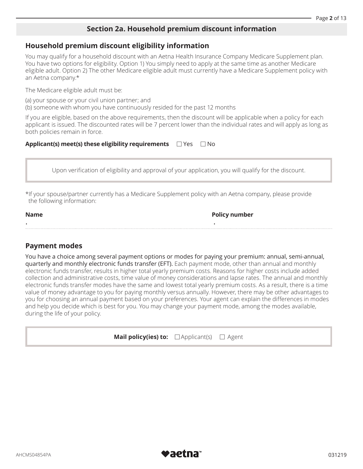## **Section 2a. Household premium discount information**

## **Household premium discount eligibility information**

You may qualify for a household discount with an Aetna Health Insurance Company Medicare Supplement plan. You have two options for eligibility. Option 1) You simply need to apply at the same time as another Medicare eligible adult. Option 2) The other Medicare eligible adult must currently have a Medicare Supplement policy with an Aetna company.\*

The Medicare eligible adult must be:

(a) your spouse or your civil union partner; and (b) someone with whom you have continuously resided for the past 12 months

If you are eligible, based on the above requirements, then the discount will be applicable when a policy for each applicant is issued. The discounted rates will be 7 percent lower than the individual rates and will apply as long as both policies remain in force.

#### **Applicant(s) meet(s) these eligibility requirements**  $\Box$  Yes  $\Box$  No

Upon verification of eligibility and approval of your application, you will qualify for the discount.

\*If your spouse/partner currently has a Medicare Supplement policy with an Aetna company, please provide the following information:

#### Name

• •

**Policy number** 

## **Payment modes**

You have a choice among several payment options or modes for paying your premium: annual, semi-annual, quarterly and monthly electronic funds transfer (EFT). Each payment mode, other than annual and monthly electronic funds transfer, results in higher total yearly premium costs. Reasons for higher costs include added collection and administrative costs, time value of money considerations and lapse rates. The annual and monthly electronic funds transfer modes have the same and lowest total yearly premium costs. As a result, there is a time value of money advantage to you for paying monthly versus annually. However, there may be other advantages to you for choosing an annual payment based on your preferences. Your agent can explain the differences in modes and help you decide which is best for you. You may change your payment mode, among the modes available, during the life of your policy.

| Mail policy(ies) to: | $\Box$ Applicant(s) | $\Box$ Agent |
|----------------------|---------------------|--------------|
|----------------------|---------------------|--------------|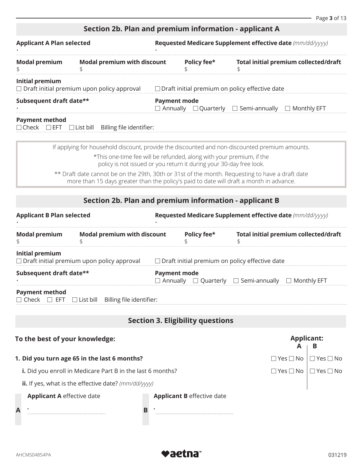## **Section 2b. Plan and premium information - applicant A**

| <b>Applicant A Plan selected</b>                           |                                                                                                                                             | Requested Medicare Supplement effective date (mm/dd/yyyy)                                       |             |                                                                                                |  |
|------------------------------------------------------------|---------------------------------------------------------------------------------------------------------------------------------------------|-------------------------------------------------------------------------------------------------|-------------|------------------------------------------------------------------------------------------------|--|
| <b>Modal premium with discount</b><br><b>Modal premium</b> |                                                                                                                                             |                                                                                                 | Policy fee* | Total initial premium collected/draft                                                          |  |
| Initial premium                                            | $\Box$ Draft initial premium upon policy approval                                                                                           |                                                                                                 |             | $\Box$ Draft initial premium on policy effective date                                          |  |
| Subsequent draft date**                                    |                                                                                                                                             | <b>Payment mode</b><br>$\Box$ Annually $\Box$ Quarterly $\Box$ Semi-annually $\Box$ Monthly EFT |             |                                                                                                |  |
| <b>Payment method</b>                                      | $\Box$ Check $\Box$ EFT $\Box$ List bill Billing file identifier:                                                                           |                                                                                                 |             |                                                                                                |  |
|                                                            |                                                                                                                                             |                                                                                                 |             | If applying for household discount, provide the discounted and non-discounted premium amounts. |  |
|                                                            | *This one-time fee will be refunded, along with your premium, if the<br>policy is not issued or you return it during your 30-day free look. |                                                                                                 |             |                                                                                                |  |

\*\* Draft date cannot be on the 29th, 30th or 31st of the month. Requesting to have a draft date more than 15 days greater than the policy's paid to date will draft a month in advance.

## **Section 2b. Plan and premium information - applicant B**

| <b>Applicant B Plan selected</b>  |                                                                                                         | Requested Medicare Supplement effective date (mm/dd/yyyy) |                                         |                                                                          |                        |                      |
|-----------------------------------|---------------------------------------------------------------------------------------------------------|-----------------------------------------------------------|-----------------------------------------|--------------------------------------------------------------------------|------------------------|----------------------|
| <b>Modal premium</b><br>\$        | <b>Modal premium with discount</b>                                                                      |                                                           | Policy fee*                             | <b>Total initial premium collected/draft</b>                             |                        |                      |
| Initial premium                   | $\Box$ Draft initial premium upon policy approval $\Box$ Draft initial premium on policy effective date |                                                           |                                         |                                                                          |                        |                      |
| Subsequent draft date**           |                                                                                                         | <b>Payment mode</b>                                       |                                         | $\Box$ Annually $\Box$ Quarterly $\Box$ Semi-annually $\Box$ Monthly EFT |                        |                      |
| <b>Payment method</b>             | $\Box$ Check $\Box$ EFT $\Box$ List bill Billing file identifier:                                       |                                                           |                                         |                                                                          |                        |                      |
|                                   |                                                                                                         |                                                           | <b>Section 3. Eligibility questions</b> |                                                                          |                        |                      |
| To the best of your knowledge:    |                                                                                                         |                                                           |                                         |                                                                          | <b>Applicant:</b><br>A | в                    |
|                                   | 1. Did you turn age 65 in the last 6 months?                                                            |                                                           |                                         |                                                                          | $\Box$ Yes $\Box$ No   | $\Box$ Yes $\Box$ No |
|                                   | i. Did you enroll in Medicare Part B in the last 6 months?                                              |                                                           |                                         |                                                                          | $\Box$ Yes $\Box$ No   | $\Box$ Yes $\Box$ No |
|                                   | ii. If yes, what is the effective date? $(mm/dd/yyyy)$                                                  |                                                           |                                         |                                                                          |                        |                      |
| <b>Applicant A effective date</b> |                                                                                                         |                                                           | <b>Applicant B</b> effective date       |                                                                          |                        |                      |
| A                                 | в                                                                                                       |                                                           |                                         |                                                                          |                        |                      |

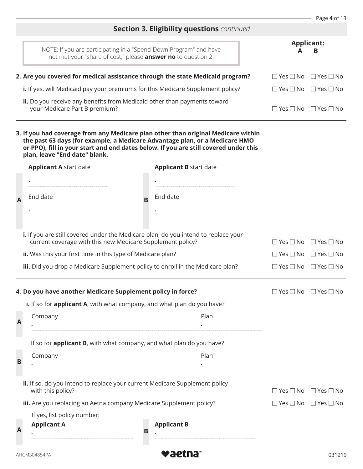## **Section 3. Eligibility questions** *continued*  NOTE: If you are participating in a "Spend-Down Program" and have not met your "share of cost," please **answer no** to question 2. **Applicant: A B 2. Are you covered for medical assistance through the state Medicaid program?** □ Yes □ No | □ Yes □ No **i.** If yes, will Medicaid pay your premiums for this Medicare Supplement policy?  $\Box$  Yes  $\Box$  No  $\Box$  Yes  $\Box$  No  $\Box$ **ii.** Do you receive any benefits from Medicaid other than payments toward your Medicare Part B premium? □ Yes □ No □ Yes □ No **3. If you had coverage from any Medicare plan other than original Medicare within the past 63 days (for example, a Medicare Advantage plan, or a Medicare HMO or PPO), fill in your start and end dates below. If you are still covered under this plan, leave "End date" blank. A Applicant A** start date End date **<sup>B</sup> Applicant B** start date • • End date • • **i.** If you are still covered under the Medicare plan, do you intend to replace your current coverage with this new Medicare Supplement policy?  $\Box$  Yes  $\Box$  No  $\Box$  Yes  $\Box$  No  $\Box$  Yes  $\Box$  No **ii.** Was this your first time in this type of Medicare plan?  $\Box$  Yes  $\Box$  No  $\Box$  Yes  $\Box$  No  $\Box$  Yes  $\Box$  No **iii.** Did you drop a Medicare Supplement policy to enroll in the Medicare plan?  $\square$  Yes  $\square$  No  $\Box$  Yes  $\Box$  No  $\Box$  Yes  $\Box$  No **4. Do you have another Medicare Supplement policy in force?** □ Yes □ No □ Yes □ No **A i.** If so for **applicant A**, with what company, and what plan do you have? Company Plan **B** • • If so for **applicant B**, with what company, and what plan do you have? Company Plan • • **ii.** If so, do you intend to replace your current Medicare Supplement policy with this policy?  $\Box$  Yes  $\Box$  No  $\Box$  Yes  $\Box$  No **iii.** Are you replacing an Aetna company Medicare Supplement policy? No | □ Yes □ No If yes, list policy number: **A Applicant A B Applicant B** • •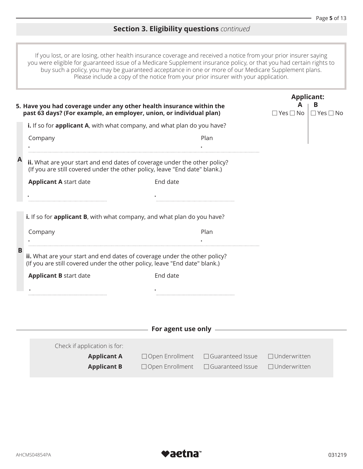## **Section 3. Eligibility questions** *continued*

If you lost, or are losing, other health insurance coverage and received a notice from your prior insurer saying you were eligible for guaranteed issue of a Medicare Supplement insurance policy, or that you had certain rights to buy such a policy, you may be guaranteed acceptance in one or more of our Medicare Supplement plans. Please include a copy of the notice from your prior insurer with your application.

|   | 5. Have you had coverage under any other health insurance within the<br>past 63 days? (For example, an employer, union, or individual plan)             |                                                                                                                                                                                                                                |                                                     | <b>Applicant:</b><br>А<br>в<br>$\Box$ Yes $\Box$ No<br>$\Box$ Yes $\Box$ No |
|---|---------------------------------------------------------------------------------------------------------------------------------------------------------|--------------------------------------------------------------------------------------------------------------------------------------------------------------------------------------------------------------------------------|-----------------------------------------------------|-----------------------------------------------------------------------------|
|   | i. If so for applicant A, with what company, and what plan do you have?                                                                                 |                                                                                                                                                                                                                                |                                                     |                                                                             |
|   | Company                                                                                                                                                 |                                                                                                                                                                                                                                | Plan                                                |                                                                             |
| A | ii. What are your start and end dates of coverage under the other policy?<br>(If you are still covered under the other policy, leave "End date" blank.) |                                                                                                                                                                                                                                |                                                     |                                                                             |
|   | <b>Applicant A start date</b>                                                                                                                           | End date                                                                                                                                                                                                                       |                                                     |                                                                             |
|   |                                                                                                                                                         |                                                                                                                                                                                                                                |                                                     |                                                                             |
|   | i. If so for applicant B, with what company, and what plan do you have?                                                                                 |                                                                                                                                                                                                                                |                                                     |                                                                             |
|   | Company                                                                                                                                                 |                                                                                                                                                                                                                                | Plan                                                |                                                                             |
| B |                                                                                                                                                         |                                                                                                                                                                                                                                |                                                     |                                                                             |
|   | ii. What are your start and end dates of coverage under the other policy?<br>(If you are still covered under the other policy, leave "End date" blank.) |                                                                                                                                                                                                                                |                                                     |                                                                             |
|   | <b>Applicant B start date</b>                                                                                                                           | End date                                                                                                                                                                                                                       |                                                     |                                                                             |
|   |                                                                                                                                                         |                                                                                                                                                                                                                                |                                                     |                                                                             |
|   |                                                                                                                                                         |                                                                                                                                                                                                                                |                                                     |                                                                             |
|   |                                                                                                                                                         | and the same of the second second second second second second second second second second second second second second second second second second second second second second second second second second second second second |                                                     |                                                                             |
|   |                                                                                                                                                         |                                                                                                                                                                                                                                |                                                     |                                                                             |
|   | Check if application is for:                                                                                                                            |                                                                                                                                                                                                                                |                                                     |                                                                             |
|   | <b>Applicant A</b>                                                                                                                                      |                                                                                                                                                                                                                                | $\Box$ Open Enrollment $\Box$ Guaranteed Issue      | $\Box$ Underwritten                                                         |
|   | <b>Applicant B</b>                                                                                                                                      |                                                                                                                                                                                                                                | □ Open Enrollment □ Guaranteed Issue □ Underwritten |                                                                             |

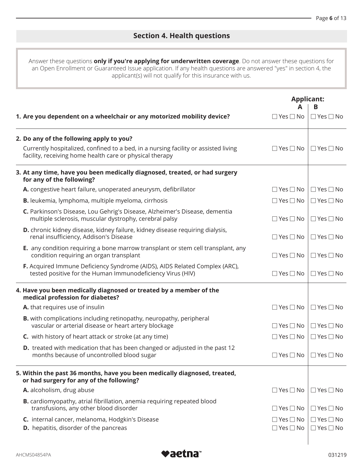## **Section 4. Health questions**

Answer these questions **only if you're applying for underwritten coverage**. Do not answer these questions for an Open Enrollment or Guaranteed Issue application. If any health questions are answered "yes" in section 4, the applicant(s) will not qualify for this insurance with us.

|                                                                                                                                                 | <b>Applicant:</b>                            | в                                            |
|-------------------------------------------------------------------------------------------------------------------------------------------------|----------------------------------------------|----------------------------------------------|
| 1. Are you dependent on a wheelchair or any motorized mobility device?                                                                          | $\Box$ Yes $\Box$ No                         | $\Box$ Yes $\Box$ No                         |
| 2. Do any of the following apply to you?                                                                                                        |                                              |                                              |
| Currently hospitalized, confined to a bed, in a nursing facility or assisted living<br>facility, receiving home health care or physical therapy | $\Box$ Yes $\Box$ No                         | $\Box$ Yes $\Box$ No                         |
| 3. At any time, have you been medically diagnosed, treated, or had surgery<br>for any of the following?                                         |                                              |                                              |
| A. congestive heart failure, unoperated aneurysm, defibrillator                                                                                 | $\Box$ Yes $\Box$ No                         | $\Box$ Yes $\Box$ No                         |
| <b>B.</b> leukemia, lymphoma, multiple myeloma, cirrhosis                                                                                       | $\Box$ Yes $\Box$ No                         | $\Box$ Yes $\Box$ No                         |
| C. Parkinson's Disease, Lou Gehrig's Disease, Alzheimer's Disease, dementia<br>multiple sclerosis, muscular dystrophy, cerebral palsy           | $\Box$ Yes $\Box$ No                         | $\Box$ Yes $\Box$ No                         |
| D. chronic kidney disease, kidney failure, kidney disease requiring dialysis,<br>renal insufficiency, Addison's Disease                         | $\Box$ Yes $\Box$ No                         | $\Box$ Yes $\Box$ No                         |
| E. any condition requiring a bone marrow transplant or stem cell transplant, any<br>condition requiring an organ transplant                     | $\Box$ Yes $\Box$ No                         | $\Box$ Yes $\Box$ No                         |
| F. Acquired Immune Deficiency Syndrome (AIDS), AIDS Related Complex (ARC),<br>tested positive for the Human Immunodeficiency Virus (HIV)        | $\Box$ Yes $\Box$ No                         | $\Box$ Yes $\Box$ No                         |
| 4. Have you been medically diagnosed or treated by a member of the<br>medical profession for diabetes?                                          |                                              |                                              |
| A. that requires use of insulin                                                                                                                 | $\Box$ Yes $\Box$ No                         | $\Box$ Yes $\Box$ No                         |
| <b>B.</b> with complications including retinopathy, neuropathy, peripheral<br>vascular or arterial disease or heart artery blockage             | $\Box$ Yes $\Box$ No                         | $\Box$ Yes $\Box$ No                         |
| <b>C.</b> with history of heart attack or stroke (at any time)                                                                                  | $\Box$ Yes $\Box$ No                         | $\Box$ Yes $\Box$ No                         |
| <b>D.</b> treated with medication that has been changed or adjusted in the past 12<br>months because of uncontrolled blood sugar                | $\Box$ Yes $\Box$ No                         | $\Box$ Yes $\Box$ No                         |
| 5. Within the past 36 months, have you been medically diagnosed, treated,<br>or had surgery for any of the following?                           |                                              |                                              |
| A. alcoholism, drug abuse                                                                                                                       | $\Box$ Yes $\Box$ No                         | $\Box$ Yes $\Box$ No                         |
| <b>B.</b> cardiomyopathy, atrial fibrillation, anemia requiring repeated blood<br>transfusions, any other blood disorder                        | $\Box$ Yes $\Box$ No                         | $\Box$ Yes $\Box$ No                         |
| C. internal cancer, melanoma, Hodgkin's Disease<br>D. hepatitis, disorder of the pancreas                                                       | $\Box$ Yes $\Box$ No<br>$\Box$ Yes $\Box$ No | $\Box$ Yes $\Box$ No<br>$\Box$ Yes $\Box$ No |
|                                                                                                                                                 |                                              |                                              |

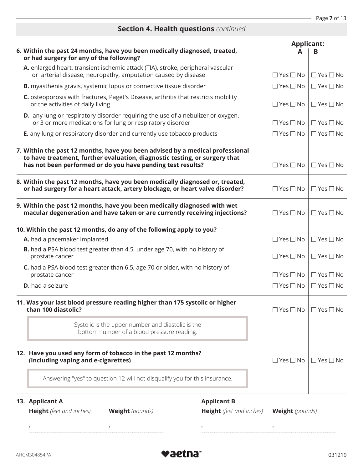## **Section 4. Health questions** *continued*

|                                                                                                      | 6. Within the past 24 months, have you been medically diagnosed, treated,<br>or had surgery for any of the following?                                                                                                      |                                 | <b>Applicant:</b>      | в                    |
|------------------------------------------------------------------------------------------------------|----------------------------------------------------------------------------------------------------------------------------------------------------------------------------------------------------------------------------|---------------------------------|------------------------|----------------------|
|                                                                                                      | A. enlarged heart, transient ischemic attack (TIA), stroke, peripheral vascular<br>or arterial disease, neuropathy, amputation caused by disease                                                                           |                                 | $\Box$ Yes $\Box$ No   | $\Box$ Yes $\Box$ No |
|                                                                                                      | B. myasthenia gravis, systemic lupus or connective tissue disorder                                                                                                                                                         |                                 | $\Box$ Yes $\Box$ No   | $\Box$ Yes $\Box$ No |
|                                                                                                      | C. osteoporosis with fractures, Paget's Disease, arthritis that restricts mobility<br>or the activities of daily living                                                                                                    |                                 | $\Box$ Yes $\Box$ No   | $\Box$ Yes $\Box$ No |
|                                                                                                      | <b>D.</b> any lung or respiratory disorder requiring the use of a nebulizer or oxygen,<br>or 3 or more medications for lung or respiratory disorder                                                                        |                                 | $\Box$ Yes $\Box$ No   | $\Box$ Yes $\Box$ No |
|                                                                                                      | <b>E.</b> any lung or respiratory disorder and currently use tobacco products                                                                                                                                              |                                 | $\Box$ Yes $\Box$ No   | $\Box$ Yes $\Box$ No |
|                                                                                                      | 7. Within the past 12 months, have you been advised by a medical professional<br>to have treatment, further evaluation, diagnostic testing, or surgery that<br>has not been performed or do you have pending test results? |                                 | $\Box$ Yes $\Box$ No   | $\Box$ Yes $\Box$ No |
|                                                                                                      | 8. Within the past 12 months, have you been medically diagnosed or, treated,<br>or had surgery for a heart attack, artery blockage, or heart valve disorder?                                                               |                                 | $\Box$ Yes $\Box$ No   | $\Box$ Yes $\Box$ No |
|                                                                                                      | 9. Within the past 12 months, have you been medically diagnosed with wet<br>macular degeneration and have taken or are currently receiving injections?                                                                     |                                 | $\Box$ Yes $\Box$ No   | $\Box$ Yes $\Box$ No |
|                                                                                                      | 10. Within the past 12 months, do any of the following apply to you?                                                                                                                                                       |                                 |                        |                      |
|                                                                                                      | A. had a pacemaker implanted                                                                                                                                                                                               |                                 | $\Box$ Yes $\Box$ No   | $\Box$ Yes $\Box$ No |
| <b>B.</b> had a PSA blood test greater than 4.5, under age 70, with no history of<br>prostate cancer |                                                                                                                                                                                                                            |                                 |                        | $\Box$ Yes $\Box$ No |
|                                                                                                      | C. had a PSA blood test greater than 6.5, age 70 or older, with no history of<br>prostate cancer                                                                                                                           |                                 | $\Box$ Yes $\Box$ No   | $\Box$ Yes $\Box$ No |
|                                                                                                      | <b>D.</b> had a seizure                                                                                                                                                                                                    |                                 | $\Box$ Yes $\Box$ No   | $\Box$ Yes $\Box$ No |
|                                                                                                      | 11. Was your last blood pressure reading higher than 175 systolic or higher<br>than 100 diastolic?                                                                                                                         |                                 | $\Box$ Yes $\Box$ No   | $\Box$ Yes $\Box$ No |
|                                                                                                      | Systolic is the upper number and diastolic is the<br>bottom number of a blood pressure reading.                                                                                                                            |                                 |                        |                      |
|                                                                                                      | 12. Have you used any form of tobacco in the past 12 months?<br>(Including vaping and e-cigarettes)                                                                                                                        |                                 | $\Box$ Yes $\Box$ No   | $\Box$ Yes $\Box$ No |
|                                                                                                      | Answering "yes" to question 12 will not disqualify you for this insurance.                                                                                                                                                 |                                 |                        |                      |
|                                                                                                      | 13. Applicant A                                                                                                                                                                                                            | <b>Applicant B</b>              |                        |                      |
|                                                                                                      | Height (feet and inches)<br><b>Weight</b> (pounds)                                                                                                                                                                         | <b>Height</b> (feet and inches) | <b>Weight</b> (pounds) |                      |
|                                                                                                      |                                                                                                                                                                                                                            |                                 |                        |                      |

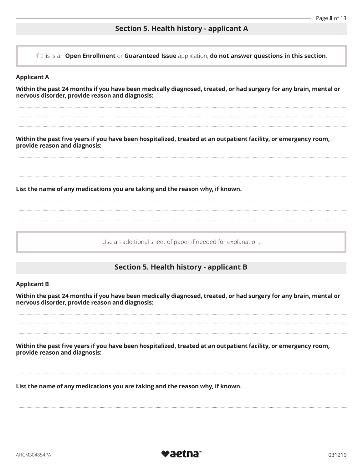## **Section 5. Health history - applicant A**

If this is an **Open Enrollment** or **Guaranteed Issue** application, **do not answer questions in this section**.

#### **Applicant A**

**Within the past 24 months if you have been medically diagnosed, treated, or had surgery for any brain, mental or nervous disorder, provide reason and diagnosis:** 

**Within the past five years if you have been hospitalized, treated at an outpatient facility, or emergency room, provide reason and diagnosis:** 

**List the name of any medications you are taking and the reason why, if known.** 

Use an additional sheet of paper if needed for explanation.

### **Section 5. Health history - applicant B**

#### **Applicant B**

**Within the past 24 months if you have been medically diagnosed, treated, or had surgery for any brain, mental or nervous disorder, provide reason and diagnosis:** 

provide reason and diagnosis: **Within the past five years if you have been hospitalized, treated at an outpatient facility, or emergency room,**

List the name of any medications you are taking and the reason why, if known.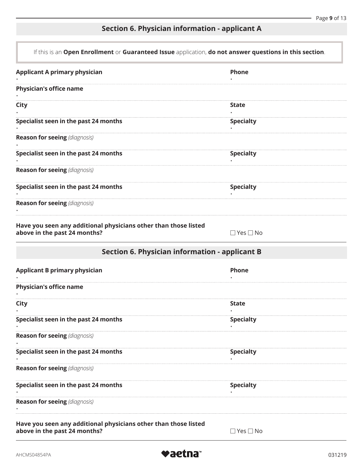## **Section 6. Physician information - applicant A**

| If this is an Open Enrollment or Guaranteed Issue application, do not answer questions in this section. |                      |  |
|---------------------------------------------------------------------------------------------------------|----------------------|--|
| <b>Applicant A primary physician</b>                                                                    | Phone                |  |
| <b>Physician's office name</b>                                                                          |                      |  |
| <b>City</b>                                                                                             | State                |  |
| Specialist seen in the past 24 months                                                                   | <b>Specialty</b>     |  |
| <b>Reason for seeing (diagnosis)</b>                                                                    |                      |  |
| Specialist seen in the past 24 months                                                                   | <b>Specialty</b>     |  |
| <b>Reason for seeing (diagnosis)</b>                                                                    |                      |  |
| Specialist seen in the past 24 months                                                                   | <b>Specialty</b>     |  |
| <b>Reason for seeing (diagnosis)</b>                                                                    |                      |  |
| Have you seen any additional physicians other than those listed<br>above in the past 24 months?         | $\Box$ Yes $\Box$ No |  |
| <b>Section 6. Physician information - applicant B</b>                                                   |                      |  |
| <b>Applicant B primary physician</b>                                                                    | Phone                |  |
| <b>Physician's office name</b>                                                                          |                      |  |
| City                                                                                                    | <b>State</b>         |  |
| Specialist seen in the past 24 months                                                                   | <b>Specialty</b>     |  |
| <b>Reason for seeing (diagnosis)</b>                                                                    |                      |  |
| Specialist seen in the past 24 months                                                                   | <b>Specialty</b>     |  |
| <b>Reason for seeing (diagnosis)</b>                                                                    |                      |  |
| Specialist seen in the past 24 months                                                                   | <b>Specialty</b>     |  |
| <b>Reason for seeing (diagnosis)</b>                                                                    |                      |  |
| Have you seen any additional physicians other than those listed<br>above in the past 24 months?         | ∃ Yes □ No           |  |

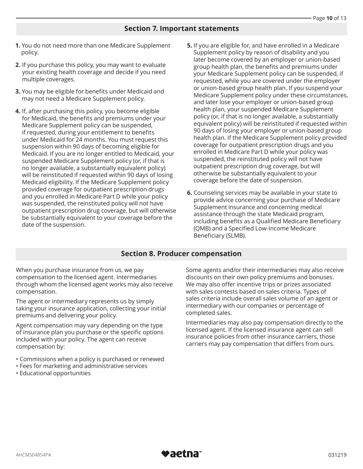## **Section 7. Important statements**

- **1.** You do not need more than one Medicare Supplement policy.
- **2.** If you purchase this policy, you may want to evaluate your existing health coverage and decide if you need multiple coverages.
- **3.** You may be eligible for benefits under Medicaid and may not need a Medicare Supplement policy.
- **4.** If, after purchasing this policy, you become eligible for Medicaid, the benefits and premiums under your Medicare Supplement policy can be suspended, if requested, during your entitlement to benefits under Medicaid for 24 months. You must request this suspension within 90 days of becoming eligible for Medicaid. If you are no longer entitled to Medicaid, your suspended Medicare Supplement policy (or, if that is no longer available, a substantially equivalent policy) will be reinstituted if requested within 90 days of losing Medicaid eligibility. If the Medicare Supplement policy provided coverage for outpatient prescription drugs and you enrolled in Medicare Part D while your policy was suspended, the reinstituted policy will not have outpatient prescription drug coverage, but will otherwise be substantially equivalent to your coverage before the date of the suspension.
- **5.** If you are eligible for, and have enrolled in a Medicare Supplement policy by reason of disability and you later become covered by an employer or union-based group health plan, the benefits and premiums under your Medicare Supplement policy can be suspended, if requested, while you are covered under the employer or union-based group health plan. If you suspend your Medicare Supplement policy under these circumstances, and later lose your employer or union-based group health plan, your suspended Medicare Supplement policy (or, if that is no longer available, a substantially equivalent policy) will be reinstituted if requested within 90 days of losing your employer or union-based group health plan. If the Medicare Supplement policy provided coverage for outpatient prescription drugs and you enrolled in Medicare Part D while your policy was suspended, the reinstituted policy will not have outpatient prescription drug coverage, but will otherwise be substantially equivalent to your coverage before the date of suspension.
- **6.** Counseling services may be available in your state to provide advice concerning your purchase of Medicare Supplement insurance and concerning medical assistance through the state Medicaid program, including benefits as a Qualified Medicare Beneficiary (QMB) and a Specified Low-Income Medicare Beneficiary (SLMB).

### **Section 8. Producer compensation**

When you purchase insurance from us, we pay compensation to the licensed agent. Intermediaries through whom the licensed agent works may also receive compensation.

The agent or intermediary represents us by simply taking your insurance application, collecting your initial premiums and delivering your policy.

Agent compensation may vary depending on the type of insurance plan you purchase or the specific options included with your policy. The agent can receive compensation by:

- Commissions when a policy is purchased or renewed
- Fees for marketing and administrative services
- Educational opportunities

Some agents and/or their intermediaries may also receive discounts on their own policy premiums and bonuses. We may also offer incentive trips or prizes associated with sales contests based on sales criteria. Types of sales criteria include overall sales volume of an agent or intermediary with our companies or percentage of completed sales.

Intermediaries may also pay compensation directly to the licensed agent. If the licensed insurance agent can sell insurance policies from other insurance carriers, those carriers may pay compensation that differs from ours.

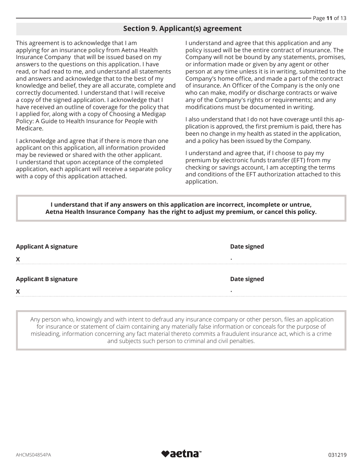## **Section 9. Applicant(s) agreement**

This agreement is to acknowledge that I am applying for an insurance policy from Aetna Health Insurance Company that will be issued based on my answers to the questions on this application. I have read, or had read to me, and understand all statements and answers and acknowledge that to the best of my knowledge and belief, they are all accurate, complete and correctly documented. I understand that I will receive a copy of the signed application. I acknowledge that I have received an outline of coverage for the policy that I applied for, along with a copy of Choosing a Medigap Policy: A Guide to Health Insurance for People with Medicare.

I acknowledge and agree that if there is more than one applicant on this application, all information provided may be reviewed or shared with the other applicant. I understand that upon acceptance of the completed application, each applicant will receive a separate policy with a copy of this application attached.

I understand and agree that this application and any policy issued will be the entire contract of insurance. The Company will not be bound by any statements, promises, or information made or given by any agent or other person at any time unless it is in writing, submitted to the Company's home office, and made a part of the contract of insurance. An Officer of the Company is the only one who can make, modify or discharge contracts or waive any of the Company's rights or requirements; and any modifications must be documented in writing.

I also understand that I do not have coverage until this application is approved, the first premium is paid, there has been no change in my health as stated in the application, and a policy has been issued by the Company.

I understand and agree that, if I choose to pay my premium by electronic funds transfer (EFT) from my checking or savings account, I am accepting the terms and conditions of the EFT authorization attached to this application.

#### **I understand that if any answers on this application are incorrect, incomplete or untrue, Aetna Health Insurance Company has the right to adjust my premium, or cancel this policy.**

| <b>Applicant A signature</b><br>X | <b>Date signed</b> |
|-----------------------------------|--------------------|
| <b>Applicant B signature</b>      | <b>Date signed</b> |
| X                                 |                    |

Any person who, knowingly and with intent to defraud any insurance company or other person, files an application for insurance or statement of claim containing any materially false information or conceals for the purpose of misleading, information concerning any fact material thereto commits a fraudulent insurance act, which is a crime and subjects such person to criminal and civil penalties.

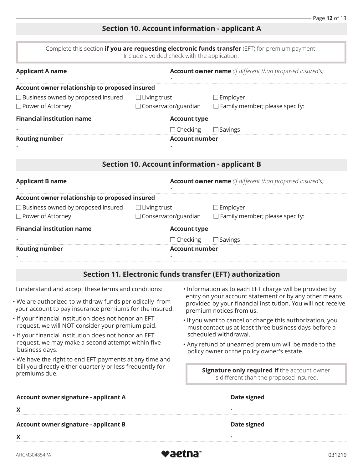## **Section 10. Account information - applicant A**

| Complete this section <b>if you are requesting electronic funds transfer</b> (EFT) for premium payment. |
|---------------------------------------------------------------------------------------------------------|
| Include a voided check with the application.                                                            |

| <b>Applicant A name</b>                                                                                                    |                                                                                                                | <b>Account owner name</b> (if different than proposed insured's)                                                            |                                                                                                                                                   |
|----------------------------------------------------------------------------------------------------------------------------|----------------------------------------------------------------------------------------------------------------|-----------------------------------------------------------------------------------------------------------------------------|---------------------------------------------------------------------------------------------------------------------------------------------------|
| Account owner relationship to proposed insured                                                                             |                                                                                                                |                                                                                                                             |                                                                                                                                                   |
| □ Business owned by proposed insured                                                                                       | $\Box$ Living trust                                                                                            |                                                                                                                             | $\Box$ Employer                                                                                                                                   |
| □ Power of Attorney                                                                                                        | □ Conservator/guardian                                                                                         |                                                                                                                             | $\Box$ Family member; please specify:                                                                                                             |
| <b>Financial institution name</b>                                                                                          |                                                                                                                | <b>Account type</b>                                                                                                         |                                                                                                                                                   |
|                                                                                                                            |                                                                                                                | $\Box$ Checking                                                                                                             | $\Box$ Savings                                                                                                                                    |
| <b>Routing number</b>                                                                                                      | <b>Account number</b>                                                                                          |                                                                                                                             |                                                                                                                                                   |
|                                                                                                                            |                                                                                                                |                                                                                                                             | <b>Section 10. Account information - applicant B</b>                                                                                              |
| <b>Applicant B name</b><br><b>Account owner name</b> (if different than proposed insured's)                                |                                                                                                                |                                                                                                                             |                                                                                                                                                   |
| Account owner relationship to proposed insured                                                                             |                                                                                                                |                                                                                                                             |                                                                                                                                                   |
| □ Business owned by proposed insured                                                                                       | $\Box$ Living trust                                                                                            |                                                                                                                             | $\Box$ Employer                                                                                                                                   |
| □ Power of Attorney                                                                                                        | $\Box$ Conservator/guardian                                                                                    |                                                                                                                             | $\Box$ Family member; please specify:                                                                                                             |
| <b>Financial institution name</b>                                                                                          |                                                                                                                | <b>Account type</b>                                                                                                         |                                                                                                                                                   |
|                                                                                                                            |                                                                                                                | $\Box$ Checking                                                                                                             | $\Box$ Savings                                                                                                                                    |
| <b>Routing number</b>                                                                                                      | <b>Account number</b>                                                                                          |                                                                                                                             |                                                                                                                                                   |
|                                                                                                                            |                                                                                                                |                                                                                                                             | Section 11. Electronic funds transfer (EFT) authorization                                                                                         |
|                                                                                                                            | I understand and accept these terms and conditions:<br>. Information as to each EFT charge will be provided by |                                                                                                                             |                                                                                                                                                   |
| . We are authorized to withdraw funds periodically from<br>your account to pay insurance premiums for the insured.         |                                                                                                                |                                                                                                                             | entry on your account statement or by any other means<br>provided by your financial institution. You will not receive<br>premium notices from us. |
| If your financial institution does not honor an EFT<br>request, we will NOT consider your premium paid.                    |                                                                                                                | . If you want to cancel or change this authorization, you<br>must contact us at least three business days before a          |                                                                                                                                                   |
| If your financial institution does not honor an EFT<br>request, we may make a second attempt within five<br>business days. |                                                                                                                | scheduled withdrawal.<br>. Any refund of unearned premium will be made to the<br>policy owner or the policy owner's estate. |                                                                                                                                                   |
|                                                                                                                            |                                                                                                                |                                                                                                                             |                                                                                                                                                   |

| • We have the right to end EFT payments at any time and   |
|-----------------------------------------------------------|
| bill you directly either quarterly or less frequently for |
| premiums due.                                             |

**Signature only required if** the account owner is different than the proposed insured.

| Account owner signature - applicant A        | Date signed |  |
|----------------------------------------------|-------------|--|
|                                              |             |  |
| <b>Account owner signature - applicant B</b> | Date signed |  |

 $\pmb{\mathsf{X}}$  $\mathsf{X}$   $\mathsf{Y}$   $\mathsf{Y}$   $\mathsf{Y}$   $\mathsf{Y}$   $\mathsf{Y}$   $\mathsf{Y}$   $\mathsf{Y}$   $\mathsf{Y}$   $\mathsf{Y}$   $\mathsf{Y}$   $\mathsf{Y}$   $\mathsf{Y}$   $\mathsf{Y}$   $\mathsf{Y}$   $\mathsf{Y}$   $\mathsf{Y}$   $\mathsf{Y}$   $\mathsf{Y}$   $\mathsf{Y}$   $\mathsf{Y}$   $\mathsf{Y}$   $\mathsf{Y}$   $\mathsf{Y}$   $\math$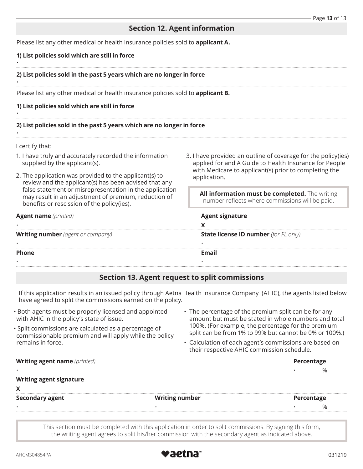## **Section 12. Agent information**

Please list any other medical or health insurance policies sold to **applicant A.** 

#### **1) List policies sold which are still in force**

#### **2) List policies sold in the past 5 years which are no longer in force**

Please list any other medical or health insurance policies sold to **applicant B.**

#### **1) List policies sold which are still in force**

#### **2) List policies sold in the past 5 years which are no longer in force**

I certify that:

•

•

•

•

- 1. I have truly and accurately recorded the information supplied by the applicant(s).
- 2. The application was provided to the applicant(s) to review and the applicant(s) has been advised that any false statement or misrepresentation in the application may result in an adjustment of premium, reduction of benefits or rescission of the policy(ies).
- applied for and A Guide to Health Insurance for People with Medicare to applicant(s) prior to completing the application.

| 1. I have truly and accurately recorded the information<br>supplied by the applicant(s).                                                                                                                                                                                         | 3. I have provided an outline of coverage for the policy (ies)<br>applied for and A Guide to Health Insurance for People<br>with Medicare to applicant(s) prior to completing the<br>application. |  |
|----------------------------------------------------------------------------------------------------------------------------------------------------------------------------------------------------------------------------------------------------------------------------------|---------------------------------------------------------------------------------------------------------------------------------------------------------------------------------------------------|--|
| 2. The application was provided to the applicant(s) to<br>review and the applicant(s) has been advised that any<br>false statement or misrepresentation in the application<br>may result in an adjustment of premium, reduction of<br>benefits or rescission of the policy(ies). |                                                                                                                                                                                                   |  |
|                                                                                                                                                                                                                                                                                  | All information must be completed. The writing<br>number reflects where commissions will be paid.                                                                                                 |  |
| <b>Agent name</b> ( <i>printed</i> )                                                                                                                                                                                                                                             | <b>Agent signature</b>                                                                                                                                                                            |  |
|                                                                                                                                                                                                                                                                                  |                                                                                                                                                                                                   |  |
| <b>Writing number</b> (agent or company)                                                                                                                                                                                                                                         | <b>State license ID number</b> (for FL only)                                                                                                                                                      |  |
|                                                                                                                                                                                                                                                                                  |                                                                                                                                                                                                   |  |
| <b>Phone</b>                                                                                                                                                                                                                                                                     | Email                                                                                                                                                                                             |  |
|                                                                                                                                                                                                                                                                                  |                                                                                                                                                                                                   |  |

#### **Section 13. Agent request to split commissions**

If this application results in an issued policy through Aetna Health Insurance Company (AHIC), the agents listed below have agreed to split the commissions earned on the policy.

- Both agents must be properly licensed and appointed with AHIC in the policy's state of issue.
- Split commissions are calculated as a percentage of commissionable premium and will apply while the policy remains in force.
- The percentage of the premium split can be for any amount but must be stated in whole numbers and total 100%. (For example, the percentage for the premium split can be from 1% to 99% but cannot be 0% or 100%.)
- Calculation of each agent's commissions are based on their respective AHIC commission schedule.

| <b>Writing agent name</b> (printed) |                       | Percentage |            |  |
|-------------------------------------|-----------------------|------------|------------|--|
| $\bullet$                           |                       |            |            |  |
| <b>Writing agent signature</b>      |                       |            |            |  |
| X                                   |                       |            |            |  |
| <b>Secondary agent</b>              | <b>Writing number</b> |            | Percentage |  |
|                                     |                       |            |            |  |
|                                     |                       |            |            |  |
|                                     |                       |            |            |  |

This section must be completed with this application in order to split commissions. By signing this form, the writing agent agrees to split his/her commission with the secondary agent as indicated above.